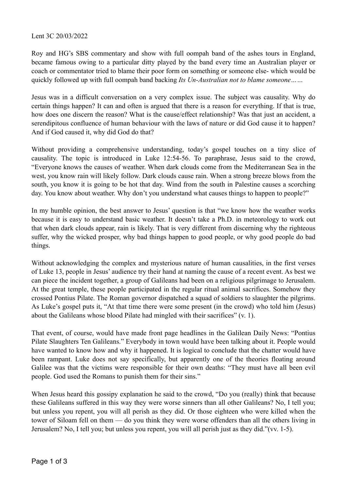## Lent 3C 20/03/2022

Roy and HG's SBS commentary and show with full oompah band of the ashes tours in England, became famous owing to a particular ditty played by the band every time an Australian player or coach or commentator tried to blame their poor form on something or someone else- which would be quickly followed up with full oompah band backing *Its Un-Australian not to blame someone……*

Jesus was in a difficult conversation on a very complex issue. The subject was causality. Why do certain things happen? It can and often is argued that there is a reason for everything. If that is true, how does one discern the reason? What is the cause/effect relationship? Was that just an accident, a serendipitous confluence of human behaviour with the laws of nature or did God cause it to happen? And if God caused it, why did God do that?

Without providing a comprehensive understanding, today's gospel touches on a tiny slice of causality. The topic is introduced in Luke 12:54-56. To paraphrase, Jesus said to the crowd, "Everyone knows the causes of weather. When dark clouds come from the Mediterranean Sea in the west, you know rain will likely follow. Dark clouds cause rain. When a strong breeze blows from the south, you know it is going to be hot that day. Wind from the south in Palestine causes a scorching day. You know about weather. Why don't you understand what causes things to happen to people?"

In my humble opinion, the best answer to Jesus' question is that "we know how the weather works because it is easy to understand basic weather. It doesn't take a Ph.D. in meteorology to work out that when dark clouds appear, rain is likely. That is very different from discerning why the righteous suffer, why the wicked prosper, why bad things happen to good people, or why good people do bad things.

Without acknowledging the complex and mysterious nature of human causalities, in the first verses of Luke 13, people in Jesus' audience try their hand at naming the cause of a recent event. As best we can piece the incident together, a group of Galileans had been on a religious pilgrimage to Jerusalem. At the great temple, these people participated in the regular ritual animal sacrifices. Somehow they crossed Pontius Pilate. The Roman governor dispatched a squad of soldiers to slaughter the pilgrims. As Luke's gospel puts it, "At that time there were some present (in the crowd) who told him (Jesus) about the Galileans whose blood Pilate had mingled with their sacrifices" (v. 1).

That event, of course, would have made front page headlines in the Galilean Daily News: "Pontius Pilate Slaughters Ten Galileans." Everybody in town would have been talking about it. People would have wanted to know how and why it happened. It is logical to conclude that the chatter would have been rampant. Luke does not say specifically, but apparently one of the theories floating around Galilee was that the victims were responsible for their own deaths: "They must have all been evil people. God used the Romans to punish them for their sins."

When Jesus heard this gossipy explanation he said to the crowd, "Do you (really) think that because these Galileans suffered in this way they were worse sinners than all other Galileans? No, I tell you; but unless you repent, you will all perish as they did. Or those eighteen who were killed when the tower of Siloam fell on them — do you think they were worse offenders than all the others living in Jerusalem? No, I tell you; but unless you repent, you will all perish just as they did."(vv. 1-5).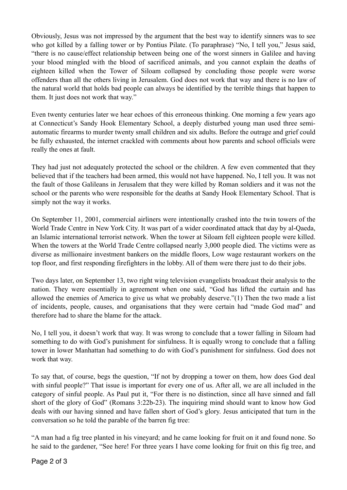Obviously, Jesus was not impressed by the argument that the best way to identify sinners was to see who got killed by a falling tower or by Pontius Pilate. (To paraphrase) "No, I tell you," Jesus said, "there is no cause/effect relationship between being one of the worst sinners in Galilee and having your blood mingled with the blood of sacrificed animals, and you cannot explain the deaths of eighteen killed when the Tower of Siloam collapsed by concluding those people were worse offenders than all the others living in Jerusalem. God does not work that way and there is no law of the natural world that holds bad people can always be identified by the terrible things that happen to them. It just does not work that way."

Even twenty centuries later we hear echoes of this erroneous thinking. One morning a few years ago at Connecticut's Sandy Hook Elementary School, a deeply disturbed young man used three semiautomatic firearms to murder twenty small children and six adults. Before the outrage and grief could be fully exhausted, the internet crackled with comments about how parents and school officials were really the ones at fault.

They had just not adequately protected the school or the children. A few even commented that they believed that if the teachers had been armed, this would not have happened. No, I tell you. It was not the fault of those Galileans in Jerusalem that they were killed by Roman soldiers and it was not the school or the parents who were responsible for the deaths at Sandy Hook Elementary School. That is simply not the way it works.

On September 11, 2001, commercial airliners were intentionally crashed into the twin towers of the World Trade Centre in New York City. It was part of a wider coordinated attack that day by al-Qaeda, an Islamic international terrorist network. When the tower at Siloam fell eighteen people were killed. When the towers at the World Trade Centre collapsed nearly 3,000 people died. The victims were as diverse as millionaire investment bankers on the middle floors, Low wage restaurant workers on the top floor, and first responding firefighters in the lobby. All of them were there just to do their jobs.

Two days later, on September 13, two right wing television evangelists broadcast their analysis to the nation. They were essentially in agreement when one said, "God has lifted the curtain and has allowed the enemies of America to give us what we probably deserve."(1) Then the two made a list of incidents, people, causes, and organisations that they were certain had "made God mad" and therefore had to share the blame for the attack.

No, I tell you, it doesn't work that way. It was wrong to conclude that a tower falling in Siloam had something to do with God's punishment for sinfulness. It is equally wrong to conclude that a falling tower in lower Manhattan had something to do with God's punishment for sinfulness. God does not work that way.

To say that, of course, begs the question, "If not by dropping a tower on them, how does God deal with sinful people?" That issue is important for every one of us. After all, we are all included in the category of sinful people. As Paul put it, "For there is no distinction, since all have sinned and fall short of the glory of God" (Romans 3:22b-23). The inquiring mind should want to know how God deals with our having sinned and have fallen short of God's glory. Jesus anticipated that turn in the conversation so he told the parable of the barren fig tree:

"A man had a fig tree planted in his vineyard; and he came looking for fruit on it and found none. So he said to the gardener, "See here! For three years I have come looking for fruit on this fig tree, and